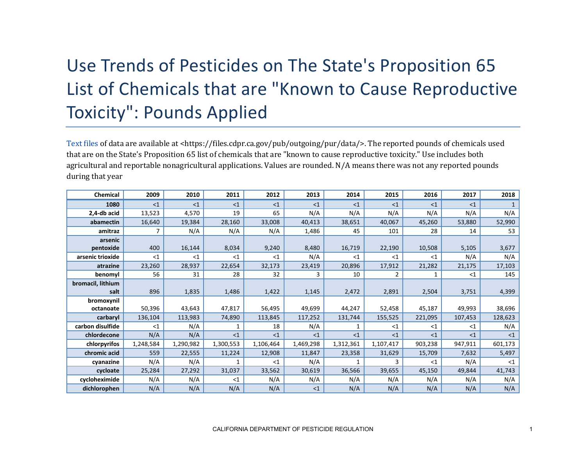## Use Trends of Pesticides on The State's Proposition 65 List of Chemicals that are "Known to Cause Reproductive Toxicity": Pounds Applied

[Text files](https://files.cdpr.ca.gov/pub/outgoing/pur/data/) of data are available at <https://files.cdpr.ca.gov/pub/outgoing/pur/data/>. The reported pounds of chemicals used that are on the State's Proposition 65 list of chemicals that are "known to cause reproductive toxicity." Use includes both agricultural and reportable nonagricultural applications. Values are rounded. N/A means there was not any reported pounds during that year

| Chemical          | 2009      | 2010      | 2011      | 2012      | 2013      | 2014      | 2015      | 2016    | 2017    | 2018     |
|-------------------|-----------|-----------|-----------|-----------|-----------|-----------|-----------|---------|---------|----------|
| 1080              | <1        | $<$ 1     | <1        | <1        | <1        | <1        | <1        | <1      | <1      |          |
| 2,4-db acid       | 13,523    | 4,570     | 19        | 65        | N/A       | N/A       | N/A       | N/A     | N/A     | N/A      |
| abamectin         | 16,640    | 19,384    | 28,160    | 33,008    | 40,413    | 38,651    | 40,067    | 45,260  | 53,880  | 52,990   |
| amitraz           |           | N/A       | N/A       | N/A       | 1,486     | 45        | 101       | 28      | 14      | 53       |
| arsenic           |           |           |           |           |           |           |           |         |         |          |
| pentoxide         | 400       | 16,144    | 8,034     | 9,240     | 8,480     | 16,719    | 22,190    | 10,508  | 5,105   | 3,677    |
| arsenic trioxide  | <1        | $<$ 1     | <1        | $<$ 1     | N/A       | <1        | $<$ 1     | $<$ 1   | N/A     | N/A      |
| atrazine          | 23,260    | 28,937    | 22,654    | 32,173    | 23,419    | 20,896    | 17,912    | 21,282  | 21,175  | 17,103   |
| benomyl           | 56        | 31        | 28        | 32        | 3         | 10        |           |         | <1      | 145      |
| bromacil, lithium |           |           |           |           |           |           |           |         |         |          |
| salt              | 896       | 1,835     | 1,486     | 1,422     | 1,145     | 2,472     | 2,891     | 2,504   | 3,751   | 4,399    |
| bromoxynil        |           |           |           |           |           |           |           |         |         |          |
| octanoate         | 50,396    | 43,643    | 47,817    | 56,495    | 49,699    | 44,247    | 52,458    | 45,187  | 49,993  | 38,696   |
| carbaryl          | 136,104   | 113,983   | 74,890    | 113,845   | 117,252   | 131,744   | 155,525   | 221,095 | 107,453 | 128,623  |
| carbon disulfide  | $<$ 1     | N/A       | 1         | 18        | N/A       | 1         | $<$ 1     | $<$ 1   | $<$ 1   | N/A      |
| chlordecone       | N/A       | N/A       | <1        | <1        | <1        | <1        | <1        | <1      | <1      | $\leq$ 1 |
| chlorpyrifos      | 1,248,584 | 1,290,982 | 1,300,553 | 1,106,464 | 1,469,298 | 1,312,361 | 1,107,417 | 903,238 | 947,911 | 601,173  |
| chromic acid      | 559       | 22,555    | 11,224    | 12,908    | 11,847    | 23,358    | 31,629    | 15,709  | 7,632   | 5,497    |
| cyanazine         | N/A       | N/A       | 1         | <1        | N/A       |           | 3         | <1      | N/A     | <1       |
| cycloate          | 25,284    | 27,292    | 31,037    | 33,562    | 30,619    | 36,566    | 39,655    | 45,150  | 49,844  | 41,743   |
| cycloheximide     | N/A       | N/A       | $<$ 1     | N/A       | N/A       | N/A       | N/A       | N/A     | N/A     | N/A      |
| dichlorophen      | N/A       | N/A       | N/A       | N/A       | <1        | N/A       | N/A       | N/A     | N/A     | N/A      |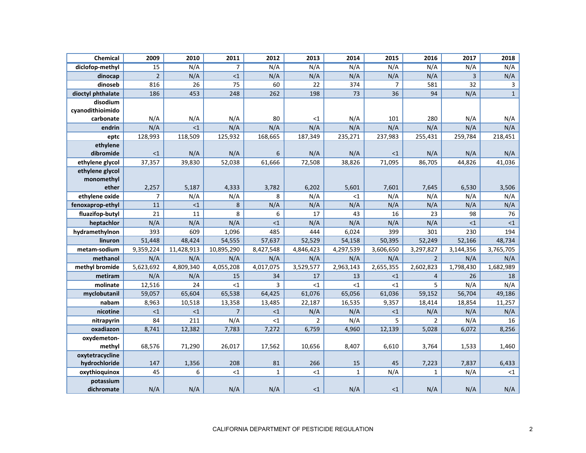| Chemical          | 2009           | 2010       | 2011           | 2012           | 2013           | 2014            | 2015            | 2016           | 2017      | 2018           |
|-------------------|----------------|------------|----------------|----------------|----------------|-----------------|-----------------|----------------|-----------|----------------|
| diclofop-methyl   | 15             | N/A        | $\overline{7}$ | N/A            | N/A            | N/A             | N/A             | N/A            | N/A       | N/A            |
| dinocap           | $\overline{2}$ | N/A        | $<1$           | N/A            | N/A            | N/A             | N/A             | N/A            | 3         | N/A            |
| dinoseb           | 816            | 26         | 75             | 60             | 22             | 374             | $\overline{7}$  | 581            | 32        | $\mathsf 3$    |
| dioctyl phthalate | 186            | 453        | 248            | 262            | 198            | $\overline{73}$ | $\overline{36}$ | 94             | N/A       | $\overline{1}$ |
| disodium          |                |            |                |                |                |                 |                 |                |           |                |
| cyanodithioimido  |                |            |                |                |                |                 |                 |                |           |                |
| carbonate         | N/A            | N/A        | N/A            | 80             | $<$ 1          | N/A             | 101             | 280            | N/A       | N/A            |
| endrin            | N/A            | <1         | N/A            | N/A            | N/A            | N/A             | N/A             | N/A            | N/A       | N/A            |
| eptc              | 128,993        | 118,509    | 125,932        | 168,665        | 187,349        | 235,271         | 237,983         | 255,431        | 259,784   | 218,451        |
| ethylene          |                |            |                |                |                |                 |                 |                |           |                |
| dibromide         | <1             | N/A        | N/A            | 6              | N/A            | N/A             | $<$ 1           | N/A            | N/A       | N/A            |
| ethylene glycol   | 37,357         | 39,830     | 52,038         | 61,666         | 72,508         | 38,826          | 71,095          | 86,705         | 44,826    | 41,036         |
| ethylene glycol   |                |            |                |                |                |                 |                 |                |           |                |
| monomethyl        |                |            |                |                |                |                 |                 |                |           |                |
| ether             | 2,257          | 5,187      | 4,333          | 3,782          | 6,202          | 5,601           | 7,601           | 7,645          | 6,530     | 3,506          |
| ethylene oxide    | $\overline{7}$ | N/A        | N/A            | 8              | N/A            | ${<}1$          | N/A             | N/A            | N/A       | N/A            |
| fenoxaprop-ethyl  | 11             | $\leq 1$   | 8              | N/A            | N/A            | N/A             | N/A             | N/A            | N/A       | N/A            |
| fluazifop-butyl   | 21             | 11         | 8              | 6              | 17             | 43              | 16              | 23             | 98        | 76             |
| heptachlor        | N/A            | N/A        | N/A            | <1             | N/A            | N/A             | N/A             | N/A            | <1        | $<1\,$         |
| hydramethylnon    | 393            | 609        | 1,096          | 485            | 444            | 6,024           | 399             | 301            | 230       | 194            |
| linuron           | 51,448         | 48,424     | 54,555         | 57,637         | 52,529         | 54,158          | 50,395          | 52,249         | 52,166    | 48,734         |
| metam-sodium      | 9,359,224      | 11,428,913 | 10,895,290     | 8,427,548      | 4,846,423      | 4,297,539       | 3,606,650       | 3,297,827      | 3,144,356 | 3,765,705      |
| methanol          | N/A            | N/A        | N/A            | N/A            | N/A            | N/A             | N/A             | $\overline{2}$ | N/A       | N/A            |
| methyl bromide    | 5,623,692      | 4,809,340  | 4,055,208      | 4,017,075      | 3,529,577      | 2,963,143       | 2,655,355       | 2,602,823      | 1,798,430 | 1,682,989      |
| metiram           | N/A            | N/A        | 15             | 34             | 17             | 13              | $<$ 1           | $\overline{4}$ | 26        | 18             |
| molinate          | 12,516         | 24         | ${<}1$         | $\overline{3}$ | $\leq 1$       | ${<}1$          | $\leq$ 1        | 5              | N/A       | N/A            |
| myclobutanil      | 59,057         | 65,604     | 65,538         | 64,425         | 61,076         | 65,056          | 61,036          | 59,152         | 56,704    | 49,186         |
| nabam             | 8,963          | 10,518     | 13,358         | 13,485         | 22,187         | 16,535          | 9,357           | 18,414         | 18,854    | 11,257         |
| nicotine          | <1             | ${<}1$     | $\overline{7}$ | ${<}1$         | N/A            | N/A             | ${<}1$          | N/A            | N/A       | N/A            |
| nitrapyrin        | 84             | 211        | N/A            | $<$ 1          | $\overline{2}$ | N/A             | 5               | $\overline{2}$ | N/A       | 16             |
| oxadiazon         | 8,741          | 12,382     | 7,783          | 7,272          | 6,759          | 4,960           | 12,139          | 5,028          | 6,072     | 8,256          |
| oxydemeton-       |                |            |                |                |                |                 |                 |                |           |                |
| methyl            | 68,576         | 71,290     | 26,017         | 17,562         | 10,656         | 8,407           | 6,610           | 3,764          | 1,533     | 1,460          |
| oxytetracycline   |                |            |                |                |                |                 |                 |                |           |                |
| hydrochloride     | 147            | 1,356      | 208            | 81             | 266            | 15              | 45              | 7,223          | 7,837     | 6,433          |
| oxythioquinox     | 45             | 6          | $\leq 1$       | $\mathbf{1}$   | <1             | $\mathbf{1}$    | N/A             | $\mathbf{1}$   | N/A       | ${<}1$         |
| potassium         |                |            |                |                |                |                 |                 |                |           |                |
| dichromate        | N/A            | N/A        | N/A            | N/A            | $<$ 1          | N/A             | $<$ 1           | N/A            | N/A       | N/A            |